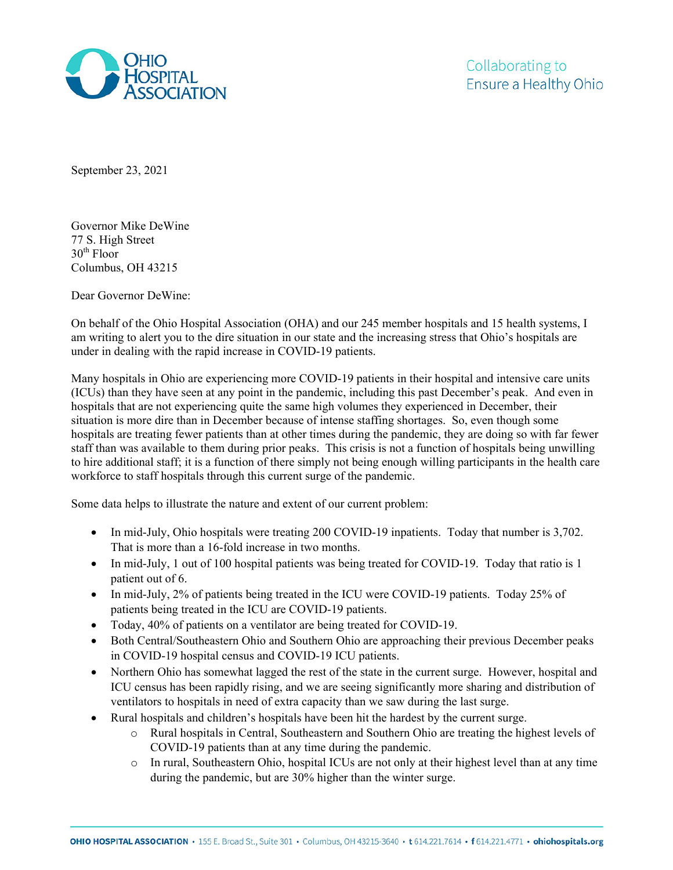

September 23, 2021

Governor Mike DeWine 77 S. High Street  $30<sup>th</sup>$  Floor Columbus, OH 43215

Dear Governor DeWine:

On behalf of the Ohio Hospital Association (OHA) and our 245 member hospitals and 15 health systems, I am writing to alert you to the dire situation in our state and the increasing stress that Ohio's hospitals are under in dealing with the rapid increase in COVID-19 patients.

Many hospitals in Ohio are experiencing more COVID-19 patients in their hospital and intensive care units (ICUs) than they have seen at any point in the pandemic, including this past December's peak. And even in hospitals that are not experiencing quite the same high volumes they experienced in December, their situation is more dire than in December because of intense staffing shortages. So, even though some hospitals are treating fewer patients than at other times during the pandemic, they are doing so with far fewer staff than was available to them during prior peaks. This crisis is not a function of hospitals being unwilling to hire additional staff; it is a function of there simply not being enough willing participants in the health care workforce to staff hospitals through this current surge of the pandemic.

Some data helps to illustrate the nature and extent of our current problem:

- In mid-July, Ohio hospitals were treating 200 COVID-19 inpatients. Today that number is 3,702. That is more than a 16-fold increase in two months.
- In mid-July, 1 out of 100 hospital patients was being treated for COVID-19. Today that ratio is 1 patient out of 6.
- In mid-July, 2% of patients being treated in the ICU were COVID-19 patients. Today 25% of patients being treated in the ICU are COVID-19 patients.
- Today, 40% of patients on a ventilator are being treated for COVID-19.
- Both Central/Southeastern Ohio and Southern Ohio are approaching their previous December peaks in COVID-19 hospital census and COVID-19 ICU patients.
- Northern Ohio has somewhat lagged the rest of the state in the current surge. However, hospital and ICU census has been rapidly rising, and we are seeing significantly more sharing and distribution of ventilators to hospitals in need of extra capacity than we saw during the last surge.
- Rural hospitals and children's hospitals have been hit the hardest by the current surge.
	- o Rural hospitals in Central, Southeastern and Southern Ohio are treating the highest levels of COVID-19 patients than at any time during the pandemic.
	- o In rural, Southeastern Ohio, hospital ICUs are not only at their highest level than at any time during the pandemic, but are 30% higher than the winter surge.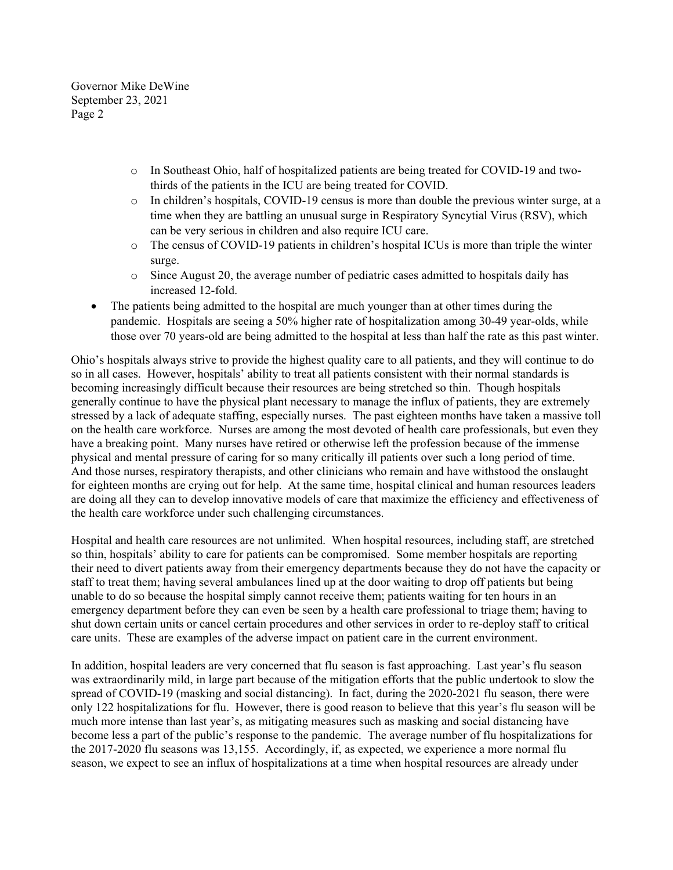Governor Mike DeWine September 23, 2021 Page 2

- o In Southeast Ohio, half of hospitalized patients are being treated for COVID-19 and twothirds of the patients in the ICU are being treated for COVID.
- o In children's hospitals, COVID-19 census is more than double the previous winter surge, at a time when they are battling an unusual surge in Respiratory Syncytial Virus (RSV), which can be very serious in children and also require ICU care.
- o The census of COVID-19 patients in children's hospital ICUs is more than triple the winter surge.
- o Since August 20, the average number of pediatric cases admitted to hospitals daily has increased 12-fold.
- The patients being admitted to the hospital are much younger than at other times during the pandemic. Hospitals are seeing a 50% higher rate of hospitalization among 30-49 year-olds, while those over 70 years-old are being admitted to the hospital at less than half the rate as this past winter.

Ohio's hospitals always strive to provide the highest quality care to all patients, and they will continue to do so in all cases. However, hospitals' ability to treat all patients consistent with their normal standards is becoming increasingly difficult because their resources are being stretched so thin. Though hospitals generally continue to have the physical plant necessary to manage the influx of patients, they are extremely stressed by a lack of adequate staffing, especially nurses. The past eighteen months have taken a massive toll on the health care workforce. Nurses are among the most devoted of health care professionals, but even they have a breaking point. Many nurses have retired or otherwise left the profession because of the immense physical and mental pressure of caring for so many critically ill patients over such a long period of time. And those nurses, respiratory therapists, and other clinicians who remain and have withstood the onslaught for eighteen months are crying out for help. At the same time, hospital clinical and human resources leaders are doing all they can to develop innovative models of care that maximize the efficiency and effectiveness of the health care workforce under such challenging circumstances.

Hospital and health care resources are not unlimited. When hospital resources, including staff, are stretched so thin, hospitals' ability to care for patients can be compromised. Some member hospitals are reporting their need to divert patients away from their emergency departments because they do not have the capacity or staff to treat them; having several ambulances lined up at the door waiting to drop off patients but being unable to do so because the hospital simply cannot receive them; patients waiting for ten hours in an emergency department before they can even be seen by a health care professional to triage them; having to shut down certain units or cancel certain procedures and other services in order to re-deploy staff to critical care units. These are examples of the adverse impact on patient care in the current environment.

In addition, hospital leaders are very concerned that flu season is fast approaching. Last year's flu season was extraordinarily mild, in large part because of the mitigation efforts that the public undertook to slow the spread of COVID-19 (masking and social distancing). In fact, during the 2020-2021 flu season, there were only 122 hospitalizations for flu. However, there is good reason to believe that this year's flu season will be much more intense than last year's, as mitigating measures such as masking and social distancing have become less a part of the public's response to the pandemic. The average number of flu hospitalizations for the 2017-2020 flu seasons was 13,155. Accordingly, if, as expected, we experience a more normal flu season, we expect to see an influx of hospitalizations at a time when hospital resources are already under